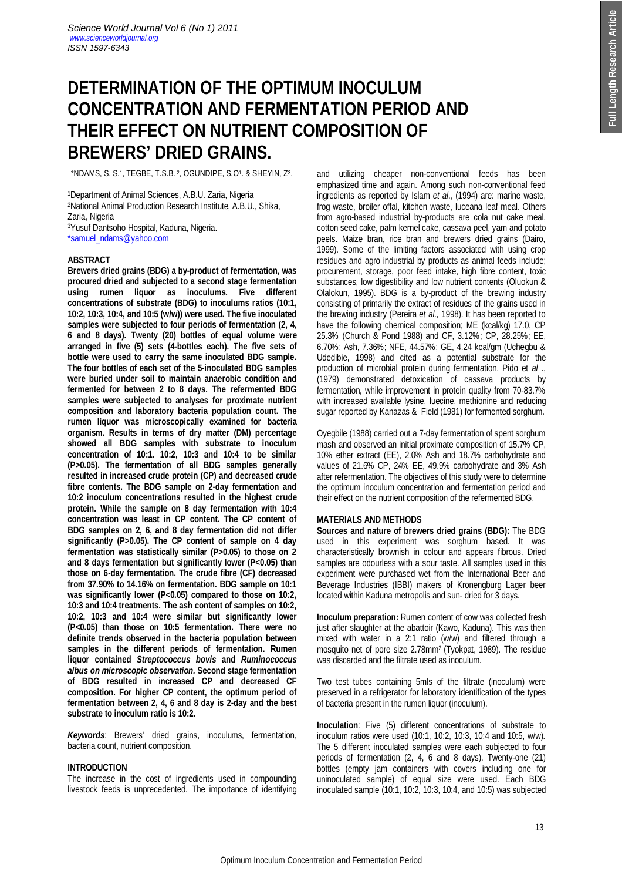# **DETERMINATION OF THE OPTIMUM INOCULUM CONCENTRATION AND FERMENTATION PERIOD AND THEIR EFFECT ON NUTRIENT COMPOSITION OF BREWERS' DRIED GRAINS.**

\*NDAMS, S. S.<sup>1</sup> , TEGBE, T.S.B. <sup>2</sup> , OGUNDIPE, S.O<sup>1</sup> . & SHEYIN, Z<sup>3</sup> .

Department of Animal Sciences, A.B.U. Zaria, Nigeria National Animal Production Research Institute, A.B.U., Shika, Zaria, Nigeria Yusuf Dantsoho Hospital, Kaduna, Nigeria.

\*samuel\_ndams@yahoo.com

# **ABSTRACT**

**Brewers dried grains (BDG) a by-product of fermentation, was procured dried and subjected to a second stage fermentation using rumen liquor as inoculums. Five different concentrations of substrate (BDG) to inoculums ratios (10:1, 10:2, 10:3, 10:4, and 10:5 (w/w)) were used. The five inoculated samples were subjected to four periods of fermentation (2, 4, 6 and 8 days). Twenty (20) bottles of equal volume were arranged in five (5) sets (4-bottles each). The five sets of bottle were used to carry the same inoculated BDG sample. The four bottles of each set of the 5-inoculated BDG samples were buried under soil to maintain anaerobic condition and fermented for between 2 to 8 days. The refermented BDG samples were subjected to analyses for proximate nutrient composition and laboratory bacteria population count. The rumen liquor was microscopically examined for bacteria organism. Results in terms of dry matter (DM) percentage showed all BDG samples with substrate to inoculum concentration of 10:1. 10:2, 10:3 and 10:4 to be similar (P>0.05). The fermentation of all BDG samples generally resulted in increased crude protein (CP) and decreased crude fibre contents. The BDG sample on 2-day fermentation and 10:2 inoculum concentrations resulted in the highest crude protein. While the sample on 8 day fermentation with 10:4 concentration was least in CP content. The CP content of BDG samples on 2, 6, and 8 day fermentation did not differ significantly (P>0.05). The CP content of sample on 4 day fermentation was statistically similar (P>0.05) to those on 2 and 8 days fermentation but significantly lower (P<0.05) than those on 6-day fermentation. The crude fibre (CF) decreased from 37.90% to 14.16% on fermentation. BDG sample on 10:1 was significantly lower (P<0.05) compared to those on 10:2, 10:3 and 10:4 treatments. The ash content of samples on 10:2, 10:2, 10:3 and 10:4 were similar but significantly lower (P<0.05) than those on 10:5 fermentation. There were no definite trends observed in the bacteria population between samples in the different periods of fermentation. Rumen liquor contained** *Streptococcus bovis* **and** *Ruminococcus albus on microscopic observation.* **Second stage fermentation of BDG resulted in increased CP and decreased CF composition. For higher CP content, the optimum period of fermentation between 2, 4, 6 and 8 day is 2-day and the best substrate to inoculum ratio is 10:2.**

*Keywords*: Brewers' dried grains, inoculums, fermentation, bacteria count, nutrient composition.

### **INTRODUCTION**

The increase in the cost of ingredients used in compounding livestock feeds is unprecedented. The importance of identifying and utilizing cheaper non-conventional feeds has been emphasized time and again. Among such non-conventional feed ingredients as reported by Islam *et al*., (1994) are: marine waste, frog waste, broiler offal, kitchen waste, luceana leaf meal. Others from agro-based industrial by-products are cola nut cake meal, cotton seed cake, palm kernel cake, cassava peel, yam and potato peels. Maize bran, rice bran and brewers dried grains (Dairo, 1999). Some of the limiting factors associated with using crop residues and agro industrial by products as animal feeds include; procurement, storage, poor feed intake, high fibre content, toxic substances, low digestibility and low nutrient contents (Oluokun & Olalokun, 1995). BDG is a by-product of the brewing industry consisting of primarily the extract of residues of the grains used in the brewing industry (Pereira *et al.,* 1998). It has been reported to have the following chemical composition; ME (kcal/kg) 17.0, CP 25.3% (Church & Pond 1988) and CF, 3.12%; CP, 28.25%; EE, 6.70%; Ash, 7.36%; NFE, 44.57%; GE, 4.24 kcal/gm (Uchegbu & Udedibie, 1998) and cited as a potential substrate for the production of microbial protein during fermentation. Pido et *al* ., (1979) demonstrated detoxication of cassava products by fermentation, while improvement in protein quality from 70-83.7% with increased available lysine, luecine, methionine and reducing sugar reported by Kanazas & Field (1981) for fermented sorghum.

Oyegbile (1988) carried out a 7-day fermentation of spent sorghum mash and observed an initial proximate composition of 15.7% CP, 10% ether extract (EE), 2.0% Ash and 18.7% carbohydrate and values of 21.6% CP, 24% EE, 49.9% carbohydrate and 3% Ash after refermentation. The objectives of this study were to determine the optimum inoculum concentration and fermentation period and their effect on the nutrient composition of the refermented BDG.

# **MATERIALS AND METHODS**

**Sources and nature of brewers dried grains (BDG):** The BDG used in this experiment was sorghum based. It was characteristically brownish in colour and appears fibrous. Dried samples are odourless with a sour taste. All samples used in this experiment were purchased wet from the International Beer and Beverage Industries (IBBI) makers of Kronengburg Lager beer located within Kaduna metropolis and sun- dried for 3 days.

**Inoculum preparation:** Rumen content of cow was collected fresh just after slaughter at the abattoir (Kawo, Kaduna). This was then mixed with water in a 2:1 ratio (w/w) and filtered through a mosquito net of pore size 2.78mm2 (Tyokpat, 1989). The residue was discarded and the filtrate used as inoculum.

Two test tubes containing 5mls of the filtrate (inoculum) were preserved in a refrigerator for laboratory identification of the types of bacteria present in the rumen liquor (inoculum).

**Inoculation**: Five (5) different concentrations of substrate to inoculum ratios were used (10:1, 10:2, 10:3, 10:4 and 10:5, w/w)*.*  The 5 different inoculated samples were each subjected to four periods of fermentation (2, 4, 6 and 8 days). Twenty-one (21) bottles (empty jam containers with covers including one for uninoculated sample) of equal size were used. Each BDG inoculated sample (10:1, 10:2, 10:3, 10:4, and 10:5) was subjected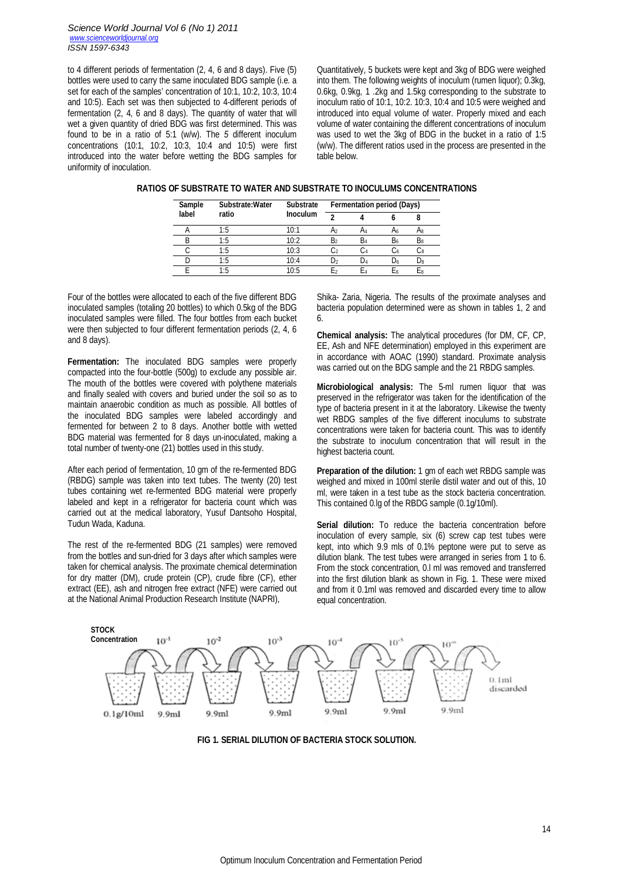to 4 different periods of fermentation (2, 4, 6 and 8 days). Five (5) bottles were used to carry the same inoculated BDG sample (i.e. a set for each of the samples' concentration of 10:1, 10:2, 10:3, 10:4 and 10:5). Each set was then subjected to 4-different periods of fermentation (2, 4, 6 and 8 days). The quantity of water that will wet a given quantity of dried BDG was first determined. This was found to be in a ratio of 5:1 (w/w). The *5* different inoculum concentrations (10:1, 10:2, 10:3, 10:4 and 10:5) were first introduced into the water before wetting the BDG samples for uniformity of inoculation.

Quantitatively, 5 buckets were kept and 3kg of BDG were weighed into them. The following weights of inoculum (rumen liquor); 0.3kg, 0.6kg, 0.9kg, 1 .2kg and 1.5kg corresponding to the substrate to inoculum ratio of 10:1, 10:2. 10:3, 10:4 and 10:5 were weighed and introduced into equal volume of water. Properly mixed and each volume of water containing the different concentrations of inoculum was used to wet the 3kg of BDG in the bucket in a ratio of 1:5 (w/w). The different ratios used in the process are presented in the table below.

| <b>Sample</b> | Substrate: Water | Substrate Fermentation period (Days) |        |  |  |
|---------------|------------------|--------------------------------------|--------|--|--|
| label         | ratio            | Inoculum                             | $\sim$ |  |  |
|               |                  | 10:1                                 |        |  |  |

B 1:5 10:2  $B_2$   $B_4$   $B_6$   $B_8$ C 1:5 10:3  $C_2$   $C_4$   $C_6$   $C_8$ D 1:5 10:4  $D_2$   $D_4$   $D_6$   $D_8$ E 1:5 10:5 E<sup>2</sup> E<sup>4</sup> E<sup>6</sup> E<sup>8</sup>

|  | RATIOS OF SUBSTRATE TO WATER AND SUBSTRATE TO INOCULUMS CONCENTRATIONS |
|--|------------------------------------------------------------------------|
|--|------------------------------------------------------------------------|

Four of the bottles were allocated to each of the five different BDG inoculated samples (totaling 20 bottles) to which 0.5kg of the BDG inoculated samples were filled. The four bottles from each bucket were then subjected to four different fermentation periods (2, 4, 6 and 8 days).

**Fermentation:** The inoculated BDG samples were properly compacted into the four-bottle (500g) to exclude any possible air. The mouth of the bottles were covered with polythene materials and finally sealed with covers and buried under the soil so as to maintain anaerobic condition as much as possible. All bottles of the inoculated BDG samples were labeled accordingly and fermented for between 2 to 8 days. Another bottle with wetted BDG material was fermented for 8 days un-inoculated, making a total number of twenty-one (21) bottles used in this study.

After each period of fermentation, 10 gm of the re-fermented BDG (RBDG) sample was taken into text tubes. The twenty (20) test tubes containing wet re-fermented BDG material were properly labeled and kept in a refrigerator for bacteria count which was carried out at the medical laboratory, Yusuf Dantsoho Hospital, Tudun Wada, Kaduna.

The rest of the re-fermented BDG (21 samples) were removed from the bottles and sun-dried for 3 days after which samples were taken for chemical analysis. The proximate chemical determination for dry matter (DM), crude protein (CP), crude fibre (CF), ether extract (EE), ash and nitrogen free extract (NFE) were carried out at the National Animal Production Research Institute (NAPRI),

Shika- Zaria, Nigeria. The results of the proximate analyses and bacteria population determined were as shown in tables 1, 2 and 6.

**Chemical analysis:** The analytical procedures (for DM, CF, CP, EE, Ash and NFE determination) employed in this experiment are in accordance with AOAC (1990) standard. Proximate analysis was carried out on the BDG sample and the 21 RBDG samples.

**Microbiological analysis:** The 5-ml rumen liquor that was preserved in the refrigerator was taken for the identification of the type of bacteria present in it at the laboratory. Likewise the twenty wet RBDG samples of the five different inoculums to substrate concentrations were taken for bacteria count. This was to identify the substrate to inoculum concentration that will result in the highest bacteria count.

**Preparation of the dilution:** 1 gm of each wet RBDG sample was weighed and mixed in 100ml sterile distil water and out of this, 10 ml, were taken in a test tube as the stock bacteria concentration. This contained 0.lg of the RBDG sample (0.1g/10ml).

Serial dilution: To reduce the bacteria concentration before inoculation of every sample, six (6) screw cap test tubes were kept, into which 9.9 mls of 0.1% peptone were put to serve as dilution blank. The test tubes were arranged in series from 1 to 6. From the stock concentration, 0.l ml was removed and transferred into the first dilution blank as shown in Fig. 1. These were mixed and from it 0.1ml was removed and discarded every time to allow equal concentration.



**FIG 1. SERIAL DILUTION OF BACTERIA STOCK SOLUTION.**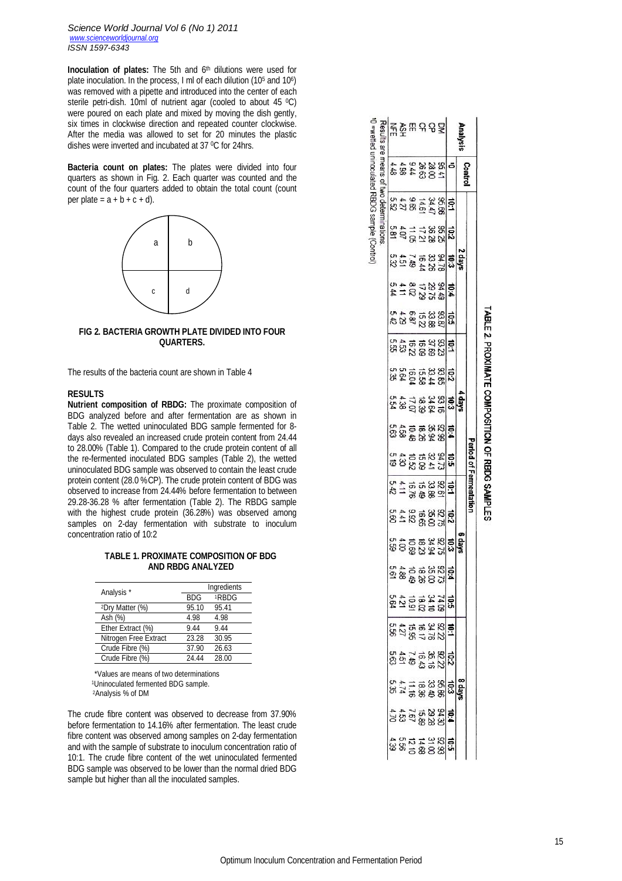*Science World Journal Vol 6 (No 1) 2011 www.scienceworldjournal.org ISSN 1597-6343*

**Inoculation of plates:** The 5th and 6<sup>th</sup> dilutions were used for plate inoculation. In the process, I ml of each dilution (10<sup>5</sup> and 10<sup>6</sup>) was removed with a pipette and introduced into the center of each sterile petri-dish. 10ml of nutrient agar (cooled to about 45 °C) were poured on each plate and mixed by moving the dish gently, six times in clockwise direction and repeated counter clockwise. After the media was allowed to set for 20 minutes the plastic dishes were inverted and incubated at 37 °C for 24hrs.

**Bacteria count on plates:** The plates were divided into four quarters as shown in Fig. 2. Each quarter was counted and the count of the four quarters added to obtain the total count (count per plate =  $a + b + c + d$ .



# **FIG 2. BACTERIA GROWTH PLATE DIVIDED INTO FOUR QUARTERS.**

The results of the bacteria count are shown in Table 4

## **RESULTS**

**Nutrient composition of RBDG:** The proximate composition of BDG analyzed before and after fermentation are as shown in Table 2. The wetted uninoculated BDG sample fermented for 8 days also revealed an increased crude protein content from 24.44 to 28.00% (Table 1). Compared to the crude protein content of all the re-fermented inoculated BDG samples (Table 2), the wetted uninoculated BDG sample was observed to contain the least crude protein content (28.0 %CP). The crude protein content of BDG was observed to increase from 24.44% before fermentation to between 29.28-36.28 % after fermentation (Table 2). The RBDG sample with the highest crude protein (36.28%) was observed among samples on 2-day fermentation with substrate to inoculum concentration ratio of 10:2

# **TABLE 1. PROXIMATE COMPOSITION OF BDG AND RBDG ANALYZED**

| Analysis <sup>*</sup>       |            | Ingredients       |
|-----------------------------|------------|-------------------|
|                             | <b>BDG</b> | <sup>1</sup> RBDG |
| <sup>2</sup> Dry Matter (%) | 95.10      | 95.41             |
| Ash (%)                     | 4.98       | 4.98              |
| Ether Extract (%)           | 9.44       | 9.44              |
| Nitrogen Free Extract       | 23.28      | 30.95             |
| Crude Fibre (%)             | 37.90      | 26.63             |
| Crude Fibre (%)             | 24.44      | 28.00             |

 \*Values are means of two determinations <sup>1</sup>Uninoculated fermented BDG sample.

<sup>2</sup>Analysis % of DM

The crude fibre content was observed to decrease from 37.90% before fermentation to 14.16% after fermentation. The least crude fibre content was observed among samples on 2-day fermentation and with the sample of substrate to inoculum concentration ratio of 10:1. The crude fibre content of the wet uninoculated fermented BDG sample was observed to be lower than the normal dried BDG sample but higher than all the inoculated samples.

|                 |        |  |                           |                          |                            |                                        |                                      |                                                           |                                                           | eriod of Fermentation                                  |                          |                                   |                              |                   |                      |                         |                                  |                                                |                                    |                                      |
|-----------------|--------|--|---------------------------|--------------------------|----------------------------|----------------------------------------|--------------------------------------|-----------------------------------------------------------|-----------------------------------------------------------|--------------------------------------------------------|--------------------------|-----------------------------------|------------------------------|-------------------|----------------------|-------------------------|----------------------------------|------------------------------------------------|------------------------------------|--------------------------------------|
| <b>Analysis</b> | Contro |  | sÁep:                     |                          |                            |                                        |                                      |                                                           |                                                           |                                                        |                          |                                   |                              |                   |                      |                         |                                  | Aep g                                          |                                    |                                      |
|                 |        |  |                           |                          |                            |                                        |                                      | ង្គុំ ខ្លួន និង <mark>ខ្ញុំទី</mark><br>សូម មាន និង ខ្ញុំ |                                                           |                                                        |                          |                                   | ត្តិទី២៩ និង<br>និងនិងនិងនិង |                   | ទី                   |                         |                                  |                                                |                                    |                                      |
|                 |        |  |                           |                          |                            |                                        |                                      |                                                           |                                                           |                                                        |                          |                                   |                              |                   |                      |                         |                                  |                                                |                                    |                                      |
|                 |        |  |                           |                          |                            |                                        |                                      |                                                           |                                                           |                                                        |                          |                                   |                              |                   |                      |                         |                                  |                                                |                                    |                                      |
|                 |        |  | <b>1223332</b><br>8324528 | <b>1223324</b><br>232351 | និងទីនឹងទី <mark>និ</mark> | ងន្ទ្រីន្ទនន្ទ្រីន្ទ<br>ដូច្នន្ទន្ទ្រី | ភូន្ត្រីនិង<br>ស្រុក អនុម្ម<br>ស្រុក |                                                           | 8 \$ 후 동 % % <mark>추</mark><br>8 \$ 동 % % % <del>\$</del> | ឌីន្តដូនដូ <mark>ង</mark><br>ដូន្តដូនដូ <mark>ង</mark> | 8호 - 우유 중국<br>8호 - 영국 중국 | ទី = នី ទី នី ន <mark>ី នី</mark> |                              | 음 <u>업용 역</u> 용 중 | 주고 일 부 동<br>동안 이 부 동 | <b>858528</b><br>858528 | នីទី នី គី គី នី <mark>ដូ</mark> | 6 <mark>8</mark> 8 8 8 9 년<br>3 13 8 8 8 8 9 9 | <b>ដូ</b> ងទីនឹងថ្ងៃ<br>អូននឹងថ្ងៃ | ងនាងដូងន <mark>ាំ</mark><br>ដូនទីនឹង |
|                 |        |  |                           |                          |                            |                                        |                                      |                                                           |                                                           |                                                        |                          |                                   |                              |                   |                      |                         |                                  |                                                |                                    |                                      |
|                 |        |  |                           |                          |                            |                                        |                                      |                                                           |                                                           |                                                        |                          |                                   |                              |                   |                      |                         |                                  |                                                |                                    |                                      |
|                 |        |  |                           |                          |                            |                                        |                                      |                                                           |                                                           |                                                        |                          |                                   |                              |                   |                      |                         |                                  |                                                |                                    |                                      |
|                 |        |  |                           |                          |                            |                                        |                                      |                                                           |                                                           |                                                        |                          |                                   |                              |                   |                      |                         |                                  |                                                |                                    |                                      |
|                 |        |  |                           |                          |                            |                                        |                                      |                                                           |                                                           |                                                        |                          |                                   |                              |                   |                      |                         |                                  |                                                |                                    |                                      |

 $-1 - 1$ 

# TABLE 2. PROXIMATE COMPOSITION OF RBDG SAMPLES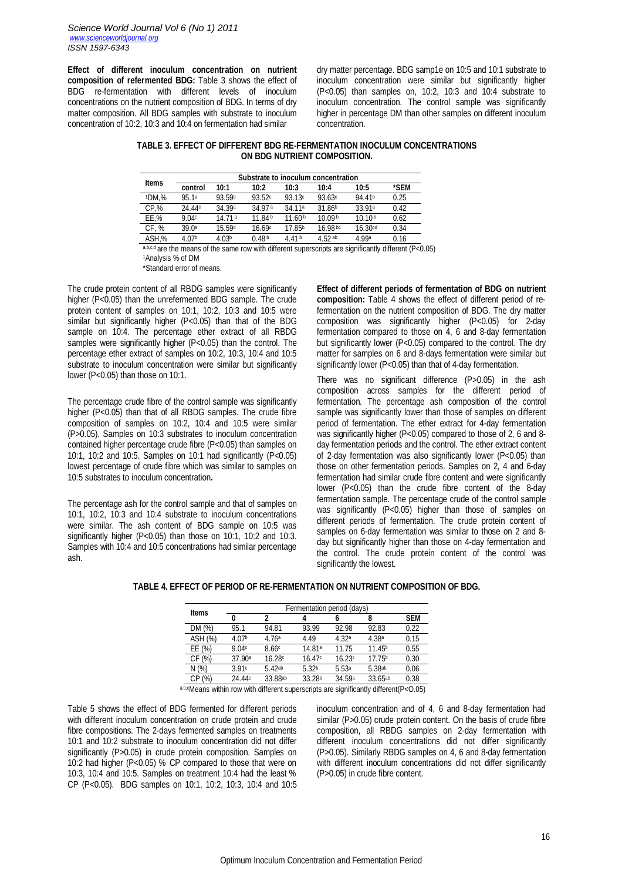**Effect of different inoculum concentration on nutrient composition of refermented BDG:** Table 3 shows the effect of BDG re-fermentation with different levels of inoculum concentrations on the nutrient composition of BDG. In terms of dry matter composition. All BDG samples with substrate to inoculum concentration of 10:2, 10:3 and 10:4 on fermentation had similar

dry matter percentage. BDG samp1e on 10:5 and 10:1 substrate to inoculum concentration were similar but significantly higher  $(P<0.05)$  than samples on, 10:2, 10:3 and 10:4 substrate to inoculum concentration. The control sample was significantly higher in percentage DM than other samples on different inoculum concentration.

# **TABLE 3. EFFECT OF DIFFERENT BDG RE-FERMENTATION INOCULUM CONCENTRATIONS ON BDG NUTRIENT COMPOSITION.**

| <b>Items</b> |         |        | Substrate to inoculum concentration |                    |                    |                     |      |  |
|--------------|---------|--------|-------------------------------------|--------------------|--------------------|---------------------|------|--|
|              | control | 10:1   | 10:2                                | 10:3               | 10:4               | 10:5                | *SFM |  |
| 1DM.%        | 95.1a   | 93.59b | 93.52c                              | 93.13c             | 93.63c             | 94.41b              | 0.25 |  |
| CP, %        | 24.44c  | 34.39a | 34.97 <sup>a</sup>                  | 34.11 <sup>a</sup> | 31.86 <sup>b</sup> | 33.91a              | 0.42 |  |
| EE.%         | 9.04c   | 1471a  | 11.84 <sup>b</sup>                  | 11.60 <sup>b</sup> | 10.09 <sup>b</sup> | 10.10 <sup>b</sup>  | 0.62 |  |
| CF. %        | 39.0a   | 15.59d | 16.69c                              | 17.85b             | $16.98 \text{ bc}$ | 16.30 <sup>cd</sup> | 0.34 |  |
| ASH.%        | 4 0 7 b | 4 N3b  | 048b                                | 4.41 <sub>b</sub>  | 4 52 ab            | 4 99a               | 0.16 |  |

a,b,c,d are the means of the same row with different superscripts are significantly different (P<0.05) <sup>1</sup>Analysis % of DM

\*Standard error of means.

The crude protein content of all RBDG samples were significantly higher (P<0.05) than the unrefermented BDG sample. The crude protein content of samples on 10:1, 10:2, 10:3 and 10:5 were similar but significantly higher (P<0.05) than that of the BDG sample on 10:4. The percentage ether extract of all RBDG samples were significantly higher (P<0.05) than the control. The percentage ether extract of samples on 10:2, 10:3, 10:4 and 10:5 substrate to inoculum concentration were similar but significantly lower (P<0.05) than those on 10:1.

The percentage crude fibre of the control sample was significantly higher (P<0.05) than that of all RBDG samples. The crude fibre composition of samples on 10:2, 10:4 and 10:5 were similar (P>0.05). Samples on 10:3 substrates to inoculum concentration contained higher percentage crude fibre (P<0.05) than samples on 10:1, 10:2 and 10:5. Samples on 10:1 had significantly (P<0.05) lowest percentage of crude fibre which was similar to samples on 10:5 substrates to inoculum concentration**.**

The percentage ash for the control sample and that of samples on 10:1, 10:2, 10:3 and 10:4 substrate to inoculum concentrations were similar. The ash content of BDG sample on 10:5 was significantly higher (P<0.05) than those on 10:1, 10:2 and 10:3. Samples with 10:4 and 10:5 concentrations had similar percentage ash.

**Effect of different periods of fermentation of BDG on nutrient composition:** Table 4 shows the effect of different period of refermentation on the nutrient composition of BDG. The dry matter composition was significantly higher (P<0.05) for 2-day fermentation compared to those on 4, 6 and 8-day fermentation but significantly lower (P<0.05) compared to the control. The dry matter for samples on 6 and 8-days fermentation were similar but significantly lower (P<0.05) than that of 4-day fermentation.

There was no significant difference (P>0.05) in the ash composition across samples for the different period of fermentation. The percentage ash composition of the control sample was significantly lower than those of samples on different period of fermentation. The ether extract for 4-day fermentation was significantly higher (P<0.05) compared to those of 2, 6 and 8day fermentation periods and the control. The ether extract content of 2-day fermentation was also significantly lower (P<0.05) than those on other fermentation periods. Samples on 2, 4 and 6-day fermentation had similar crude fibre content and were significantly lower (P<0.05) than the crude fibre content of the 8-day fermentation sample. The percentage crude of the control sample was significantly (P<0.05) higher than those of samples on different periods of fermentation. The crude protein content of samples on 6-day fermentation was similar to those on 2 and 8 day but significantly higher than those on 4-day fermentation and the control. The crude protein content of the control was significantly the lowest.

|              |                    |         | Fermentation period (days) |        |                    |            |
|--------------|--------------------|---------|----------------------------|--------|--------------------|------------|
| <b>Items</b> | 0                  | 2       | 4                          | 6      |                    | <b>SEM</b> |
| DM (%)       | 95.1               | 94.81   | 93.99                      | 92.98  | 92.83              | 0.22       |
| ASH (%)      | 4.07b              | 4.76a   | 4.49                       | 4.32а  | 4.38a              | 0.15       |
| EE(%)        | 9.04c              | 8.66c   | 14.81 <sup>a</sup>         | 11.75  | 11.45 <sup>b</sup> | 0.55       |
| CF (%)       | 37.90 <sup>a</sup> | 16.28c  | 16.47c                     | 16.23c | 17.75b             | 0.30       |
| N(%)         | 3.91c              | 5.42ab  | 5.32 <sub>b</sub>          | 5.53a  | 5.38ab             | 0.06       |
| CP (%)       | 24.44c             | 33.88ab | 33.28 <sup>b</sup>         | 34.59a | 33.65ab            | 0.38       |

# **TABLE 4. EFFECT OF PERIOD OF RE-FERMENTATION ON NUTRIENT COMPOSITION OF BDG.**

a,b,cMeans within row with different superscripts are significantly different(P<0.05)

Table 5 shows the effect of BDG fermented for different periods with different inoculum concentration on crude protein and crude fibre compositions. The 2-days fermented samples on treatments 10:1 and 10:2 substrate to inoculum concentration did not differ significantly (P>0.05) in crude protein composition. Samples on 10:2 had higher (P<0.05) % CP compared to those that were on 10:3, 10:4 and 10:5. Samples on treatment 10:4 had the least % CP (P<0.05). BDG samples on 10:1, 10:2, 10:3, 10:4 and 10:5 inoculum concentration and of 4, 6 and 8-day fermentation had similar (P>0.05) crude protein content. On the basis of crude fibre composition, all RBDG samples on 2-day fermentation with different inoculum concentrations did not differ significantly (P>0.05). Similarly RBDG samples on 4, 6 and 8-day fermentation with different inoculum concentrations did not differ significantly (P>0.05) in crude fibre content.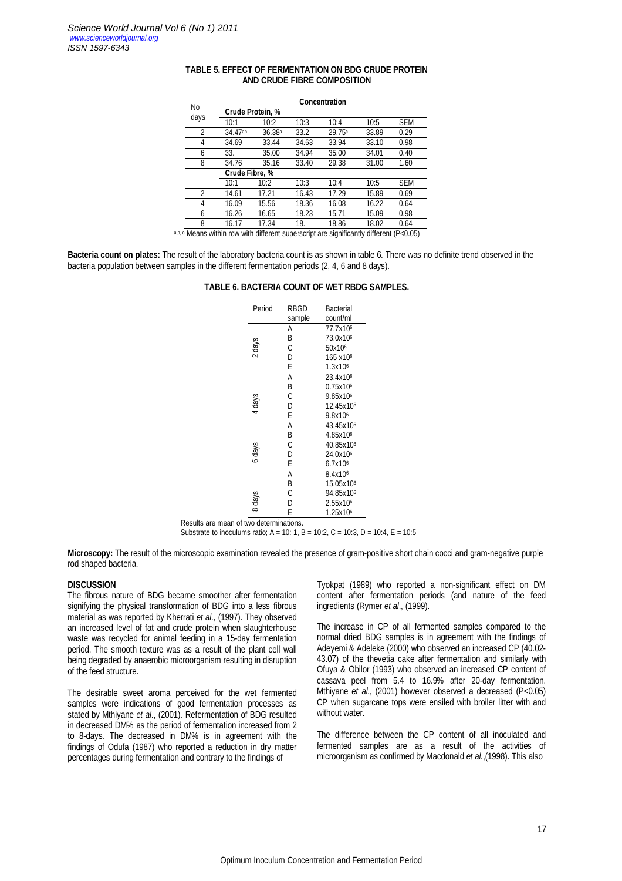| No             |                                                                                                                                                                                                                                   |                    |       | <b>Concentration</b>                                                                                                           |       |                                                             |
|----------------|-----------------------------------------------------------------------------------------------------------------------------------------------------------------------------------------------------------------------------------|--------------------|-------|--------------------------------------------------------------------------------------------------------------------------------|-------|-------------------------------------------------------------|
| days           |                                                                                                                                                                                                                                   | Crude Protein, %   |       |                                                                                                                                |       |                                                             |
|                | 10:1                                                                                                                                                                                                                              | 10:2               | 10:3  | 10:4                                                                                                                           | 10:5  | <b>SEM</b>                                                  |
| $\overline{2}$ | 34.47ab                                                                                                                                                                                                                           | 36.38 <sup>a</sup> | 33.2  | 29.75c                                                                                                                         | 33.89 | 0.29                                                        |
| 4              | 34.69                                                                                                                                                                                                                             | 33.44              | 34.63 | 33.94                                                                                                                          | 33.10 | 0.98                                                        |
| 6              | 33.                                                                                                                                                                                                                               | 35.00              | 34.94 | 35.00                                                                                                                          | 34.01 | 0.40                                                        |
| 8              | 34.76                                                                                                                                                                                                                             | 35.16              | 33.40 | 29.38                                                                                                                          | 31.00 | 1.60                                                        |
|                | Crude Fibre, %                                                                                                                                                                                                                    |                    |       |                                                                                                                                |       |                                                             |
|                | 10:1                                                                                                                                                                                                                              | 10:2               | 10:3  | 10:4                                                                                                                           | 10:5  | <b>SEM</b>                                                  |
| 2              | 14.61                                                                                                                                                                                                                             | 17.21              | 16.43 | 17.29                                                                                                                          | 15.89 | 0.69                                                        |
| 4              | 16.09                                                                                                                                                                                                                             | 15.56              | 18.36 | 16.08                                                                                                                          | 16.22 | 0.64                                                        |
| 6              | 16.26                                                                                                                                                                                                                             | 16.65              | 18.23 | 15.71                                                                                                                          | 15.09 | 0.98                                                        |
| 8              | 16.17                                                                                                                                                                                                                             | 17.34              | 18.   | 18.86                                                                                                                          | 18.02 | 0.64                                                        |
|                | $\mathbf{a}$ , and the contract of the contract of the contract of the contract of the contract of the contract of the contract of the contract of the contract of the contract of the contract of the contract of the contract o |                    |       | $\mathbf{r}$ , and $\mathbf{r}$ , and $\mathbf{r}$ , and $\mathbf{r}$ , and $\mathbf{r}$ , and $\mathbf{r}$ , and $\mathbf{r}$ |       | $\mathbb{R}^n$ $\mathbb{R}^n$ $\mathbb{R}^n$ $\mathbb{R}^n$ |

# **TABLE 5. EFFECT OF FERMENTATION ON BDG CRUDE PROTEIN AND CRUDE FIBRE COMPOSITION**

a,b, c Means within row with different superscript are significantly different (P<0.05)

**Bacteria count on plates:** The result of the laboratory bacteria count is as shown in table 6. There was no definite trend observed in the bacteria population between samples in the different fermentation periods (2, 4, 6 and 8 days).

#### **TABLE 6. BACTERIA COUNT OF WET RBDG SAMPLES.**

|                                         | Period | <b>RBGD</b> | <b>Bacterial</b>      |
|-----------------------------------------|--------|-------------|-----------------------|
|                                         |        | sample      | count/ml              |
|                                         |        | А           | 77.7x10 <sup>6</sup>  |
|                                         |        | Β           | 73.0x10 <sup>6</sup>  |
|                                         | 2 days | C           | 50x10 <sup>6</sup>    |
|                                         |        | D           | 165 x10 <sup>6</sup>  |
|                                         |        | Е           | 1.3x10 <sup>6</sup>   |
|                                         |        | Α           | 23.4x10 <sup>6</sup>  |
|                                         |        | Β           | 0.75x10 <sup>6</sup>  |
|                                         |        | С           | 9.85x10 <sup>6</sup>  |
|                                         | 4 days | D           | 12.45x10 <sup>6</sup> |
|                                         |        | E           | 9.8x10 <sup>6</sup>   |
|                                         |        | Α           | 43.45x10 <sup>6</sup> |
|                                         |        | Β           | 4.85x10 <sup>6</sup>  |
|                                         |        | C           | 40.85x10 <sup>6</sup> |
|                                         | 6 days | D           | 24.0x10 <sup>6</sup>  |
|                                         |        | Е           | 6.7x10 <sup>6</sup>   |
|                                         |        | А           | 8.4x10 <sup>6</sup>   |
|                                         |        | B           | 15.05x10 <sup>6</sup> |
|                                         |        | С           | 94.85x10 <sup>6</sup> |
|                                         | 8 days | D           | 2.55x10 <sup>6</sup>  |
|                                         |        | E           | 1.25x10 <sup>6</sup>  |
| Results are mean of two determinations. |        |             |                       |

Substrate to inoculums ratio;  $A = 10: 1$ ,  $B = 10: 2$ ,  $C = 10: 3$ ,  $D = 10: 4$ ,  $E = 10: 5$ 

**Microscopy:** The result of the microscopic examination revealed the presence of gram-positive short chain cocci and gram-negative purple rod shaped bacteria.

#### **DISCUSSION**

The fibrous nature of BDG became smoother after fermentation signifying the physical transformation of BDG into a less fibrous material as was reported by Kherrati *et al*., (1997). They observed an increased level of fat and crude protein when slaughterhouse waste was recycled for animal feeding in a 15-day fermentation period. The smooth texture was as a result of the plant cell wall being degraded by anaerobic microorganism resulting in disruption of the feed structure.

The desirable sweet aroma perceived for the wet fermented samples were indications of good fermentation processes as stated by Mthiyane *et al*., (2001). Refermentation of BDG resulted in decreased DM% as the period of fermentation increased from 2 to 8-days. The decreased in DM% is in agreement with the findings of Odufa (1987) who reported a reduction in dry matter percentages during fermentation and contrary to the findings of

Tyokpat (1989) who reported a non-significant effect on DM content after fermentation periods (and nature of the feed ingredients (Rymer *et al*., (1999).

The increase in CP of all fermented samples compared to the normal dried BDG samples is in agreement with the findings of Adeyemi & Adeleke (2000) who observed an increased CP (40.02- 43.07) of the thevetia cake after fermentation and similarly with Ofuya & Obilor (1993) who observed an increased CP content of cassava peel from 5.4 to 16.9% after 20-day fermentation. Mthiyane *et al*., (2001) however observed a decreased (P<0.05) CP when sugarcane tops were ensiled with broiler litter with and without water.

The difference between the CP content of all inoculated and fermented samples are as a result of the activities of microorganism as confirmed by Macdonald *et al*.,(1998). This also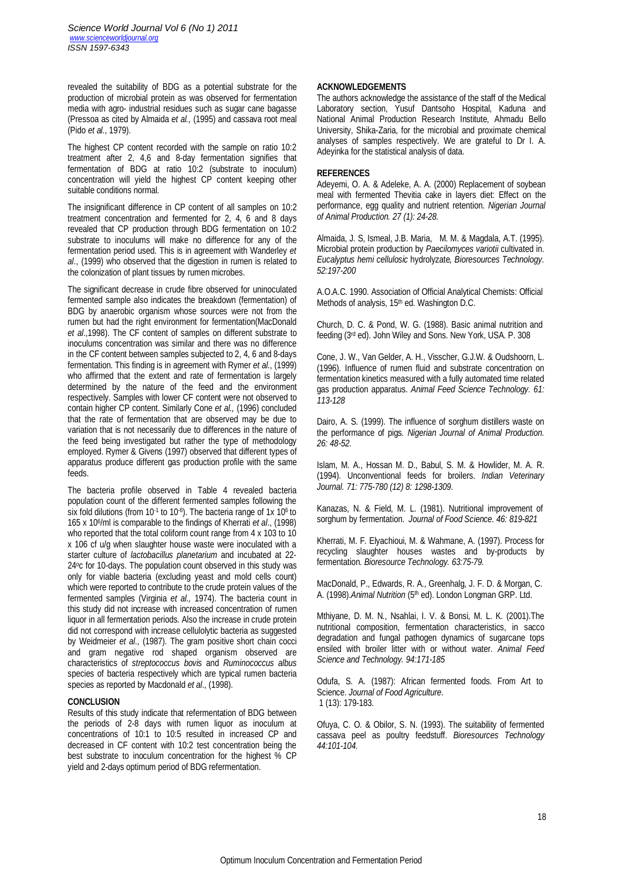revealed the suitability of BDG as a potential substrate for the production of microbial protein as was observed for fermentation media with agro- industrial residues such as sugar cane bagasse (Pressoa as cited by Almaida *et al.,* (1995) and cassava root meal (Pido *et al.*, 1979).

The highest CP content recorded with the sample on ratio 10:2 treatment after 2, 4,6 and 8-day fermentation signifies that fermentation of BDG at ratio 10:2 (substrate to inoculum) concentration will yield the highest CP content keeping other suitable conditions normal.

The insignificant difference in CP content of all samples on 10:2 treatment concentration and fermented for 2, 4, 6 and 8 days revealed that CP production through BDG fermentation on 10:2 substrate to inoculums will make no difference for any of the fermentation period used. This is in agreement with Wanderley *et al*., (1999) who observed that the digestion in rumen is related to the colonization of plant tissues by rumen microbes.

The significant decrease in crude fibre observed for uninoculated fermented sample also indicates the breakdown (fermentation) of BDG by anaerobic organism whose sources were not from the rumen but had the right environment for fermentation(MacDonald *et al*.,1998). The CF content of samples on different substrate to inoculums concentration was similar and there was no difference in the CF content between samples subjected to 2, 4, 6 and 8-days fermentation. This finding is in agreement with Rymer *et al*., (1999) who affirmed that the extent and rate of fermentation is largely determined by the nature of the feed and the environment respectively. Samples with lower CF content were not observed to contain higher CP content. Similarly Cone *et al.,* (1996) concluded that the rate of fermentation that are observed may be due to variation that is not necessarily due to differences in the nature of the feed being investigated but rather the type of methodology employed. Rymer & Givens (1997) observed that different types of apparatus produce different gas production profile with the same feeds.

The bacteria profile observed in Table 4 revealed bacteria population count of the different fermented samples following the six fold dilutions (from 10-1 to 10-6). The bacteria range of 1x 10<sup>6</sup> to 165 x 10<sup>6</sup> /ml is comparable to the findings of Kherrati *et al*., (1998) who reported that the total coliform count range from 4 x 103 to 10 x 106 cf u/g when slaughter house waste were inoculated with a starter culture of *lactobacillus planetarium* and incubated at 22- 24° c for 10-days. The population count observed in this study was only for viable bacteria (excluding yeast and mold cells count) which were reported to contribute to the crude protein values of the fermented samples (Virginia *et al.,* 1974). The bacteria count in this study did not increase with increased concentration of rumen liquor in all fermentation periods. Also the increase in crude protein did not correspond with increase cellulolytic bacteria as suggested by Weidmeier *et al*., (1987). The gram positive short chain cocci and gram negative rod shaped organism observed are characteristics of *streptococcus bovis* and *Ruminococcus albus* species of bacteria respectively which are typical rumen bacteria species as reported by Macdonald *et al.*, (1998).

### **CONCLUSION**

Results of this study indicate that refermentation of BDG between the periods of 2-8 days with rumen liquor as inoculum at concentrations of 10:1 to 10:5 resulted in increased CP and decreased in CF content with 10:2 test concentration being the best substrate to inoculum concentration for the highest % CP yield and 2-days optimum period of BDG refermentation.

### **ACKNOWLEDGEMENTS**

The authors acknowledge the assistance of the staff of the Medical Laboratory section, Yusuf Dantsoho Hospital, Kaduna and National Animal Production Research Institute, Ahmadu Bello University, Shika-Zaria, for the microbial and proximate chemical analyses of samples respectively. We are grateful to Dr I. A. Adeyinka for the statistical analysis of data.

### **REFERENCES**

Adeyemi, O. A. & Adeleke, A. A. (2000) Replacement of soybean meal with fermented Thevitia cake in layers diet: Effect on the performance, egg quality and nutrient retention. *Nigerian Journal of Animal Production. 27 (1): 24-28.*

Almaida, J. S, Ismeal, J.B. Maria, M. M. & Magdala, A.T. (1995). Microbial protein production by *Paecilomyces variotii* cultivated in. *Eucalyptus hemi cellulosic* hydrolyzate*, Bioresources Technology. 52:197-200*

A.O.A.C. 1990. Association of Official Analytical Chemists: Official Methods of analysis, 15<sup>th</sup> ed. Washington D.C.

Church, D. C. & Pond, W. G. (1988). Basic animal nutrition and feeding (3rd ed). John Wiley and Sons. New York, USA. P. 308

Cone, J. W., Van Gelder, A. H., Visscher, G.J.W. & Oudshoorn, L. (1996). Influence of rumen fluid and substrate concentration on fermentation kinetics measured with a fully automated time related gas production apparatus. *Animal Feed Science Technology. 61: 113-128*

Dairo, A. S. (1999). The influence of sorghum distillers waste on the performance of pigs*. Nigerian Journal of Animal Production. 26: 48-52.*

Islam, M. A., Hossan M. D., Babul, S. M. & Howlider, M. A. R. (1994). Unconventional feeds for broilers. *Indian Veterinary Journal. 71: 775-780 (12) 8: 1298-1309.*

Kanazas, N. & Field, M. L. (1981). Nutritional improvement of sorghum by fermentation. *Journal of Food Science. 46: 819-821*

Kherrati, M. F. Elyachioui, M. & Wahmane, A. (1997). Process for recycling slaughter houses wastes and by-products by fermentation. *Bioresource Technology. 63:75-79.*

MacDonald, P., Edwards, R. A., Greenhalg, J. F. D. & Morgan, C. A. (1998). Animal Nutrition (5<sup>th</sup> ed). London Longman GRP. Ltd.

Mthiyane, D. M. N., Nsahlai, I. V. & Bonsi, M. L. K. (2001).The nutritional composition, fermentation characteristics, in sacco degradation and fungal pathogen dynamics of sugarcane tops ensiled with broiler litter with or without water. *Animal Feed Science and Technology. 94:171-185*

Odufa, S. A. (1987): African fermented foods. From Art to Science. *Journal of Food Agriculture*. 1 (13): 179-183.

Ofuya, C. O. & Obilor, S. N. (1993). The suitability of fermented cassava peel as poultry feedstuff. *Bioresources Technology 44:101-104.*